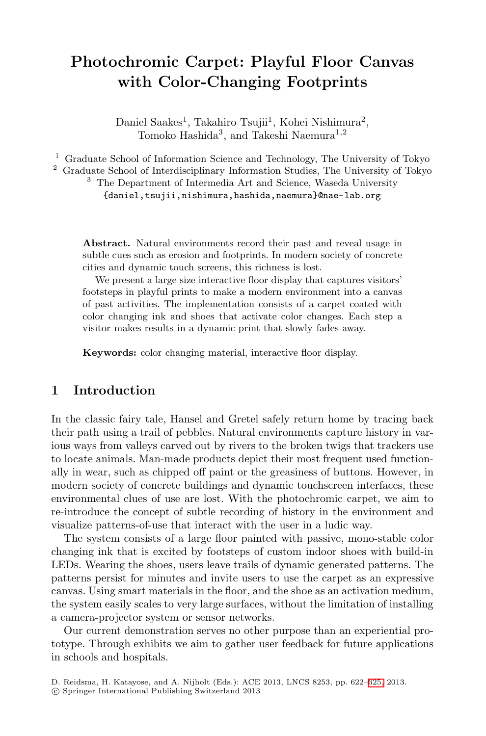# Photochromic Carpet: Playful Floor Canvas with Color-Changing Footprints

Daniel Saakes<sup>1</sup>, Takahiro Tsujii<sup>1</sup>, Kohei Nishimura<sup>2</sup>, Tomoko Hashida<sup>3</sup>, and Takeshi Naemura<sup>1,2</sup>

<sup>1</sup> Graduate School of Information Science and Technology, The University of Tokyo <sup>2</sup> Graduate School of Interdisciplinary Information Studies, The University of Tokyo <sup>3</sup> The Department of Intermedia Art and Science, Waseda University {daniel,tsujii,nishimura,hashida,naemura}@nae-lab.org

Abstract. Natural environments record their past and reveal usage in subtle cues such as erosion and footprints. In modern society of concrete cities and dynamic touch screens, this richness is lost.

We present a large size interactive floor display that captures visitors' footsteps in playful prints to make a modern environment into a canvas of past activities. The implementation consists of a carpet coated with color changing ink and shoes that activate color changes. Each step a visitor makes results in a dynamic print that slowly fades away.

Keywords: color changing material, interactive floor display.

## 1 Introduction

In the classic fairy tale, Hansel and Gretel safely return home by tracing back their path using a trail of pebbles. Natural environments capture history in various ways from valleys carved out by rivers to the broken twigs that trackers use to locate animals. Man-made products depict their most frequent used functionally in wear, such as chipped off paint or the greasiness of buttons. However, in modern society of concrete buildings and dynamic touchscreen interfaces, these environmental clues of use are lost. With the photochromic carpet, we aim to re-introduce the concept of subtle recording of history in the environment and visualize patterns-of-use that interact with the user in a ludic way.

The system consists of a large floor painted with passive, mono-stable color changing ink that is excited by footsteps of custom indoor shoes with build-in LEDs. Wearing the shoes, users leave trails of dynamic generated patterns. The patterns persist for minutes and invite users to use the carpet as an expressive canvas. Using smart materials in the floor, and the shoe as an activation medium, the system easily scales to very large surfaces, without the limitation of installing a camera-projector system or sensor networks.

Our current demonstration serves no other purpose than an experiential prototype. Through exhibits we aim to gather user feedback for future applications in schools and hospitals.

D. Reidsma, H. Katayose, and A. Nijholt (Eds.): ACE 2013, LNCS 8253, pp. 622[–625,](#page-3-0) 2013.

<sup>⃝</sup>c Springer International Publishing Switzerland 2013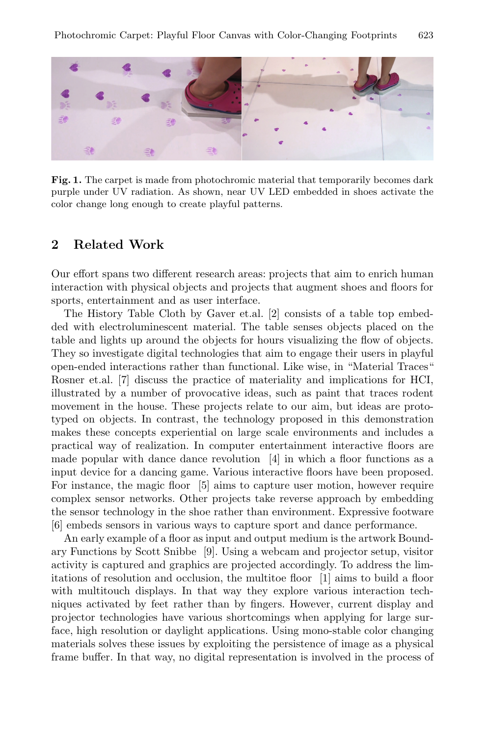<span id="page-1-0"></span>

Fig. 1. The carpet is made from photochromic material that temporarily becomes dark purple under UV radiation. As shown, near UV LED embedded in shoes activate the color change long enough to create playful patterns.

## 2 Related Work

Our effort spans two different research areas: projects that aim to enrich human interaction with physical objects and projects that augment shoes and floors for sports, entertainment and as user interface.

The History Table Cloth by Gaver et.al. [\[2\]](#page-3-1) consists of a table top embedded with electroluminescent material. The table senses objects placed on the table and lights up around the objects for hours visualizing the flow of objects. They so investigate digital technologies that aim to engage their users in playful open-ended interactions rather than functional. Like wise, in "Material Traces" Rosner et.al. [\[7\]](#page-3-2) discuss the practice of materiality and implications for HCI, illustrated by a number of provocative ideas, such as paint that traces rodent movement in the house. These projects relate to our aim, but ideas are prototyped on objects. In contrast, the technology proposed in this demonstration makes these concepts experiential on large scale environments and includes a practical way of realization. In computer entertainment interactive floors are made popular with dance dance revolution  $[4]$  in which a floor functions as a input device for a dancing game. Various interactive floors have been proposed. For instance, the magic floor [\[5\]](#page-3-4) aims to capture user motion, however require complex sensor networks. Other projects take reverse approach by embedding the sensor technology in the shoe rather than environment. Expressive footware [\[6\]](#page-3-5) embeds sensors in various ways to capture sport and dance performance.

An early example of a floor as input and output medium is the artwork Boundary Functions by Scott Snibbe [\[9\]](#page-3-6). Using a webcam and projector setup, visitor activity is captured and graphics are projected accordingly. To address the limitations of resolution and occlusion, the multitoe floor [\[1\]](#page-3-7) aims to build a floor with multitouch displays. In that way they explore various interaction techniques activated by feet rather than by fingers. However, current display and projector technologies have various shortcomings when applying for large surface, high resolution or daylight applications. Using mono-stable color changing materials solves these issues by exploiting the persistence of image as a physical frame buffer. In that way, no digital representation is involved in the process of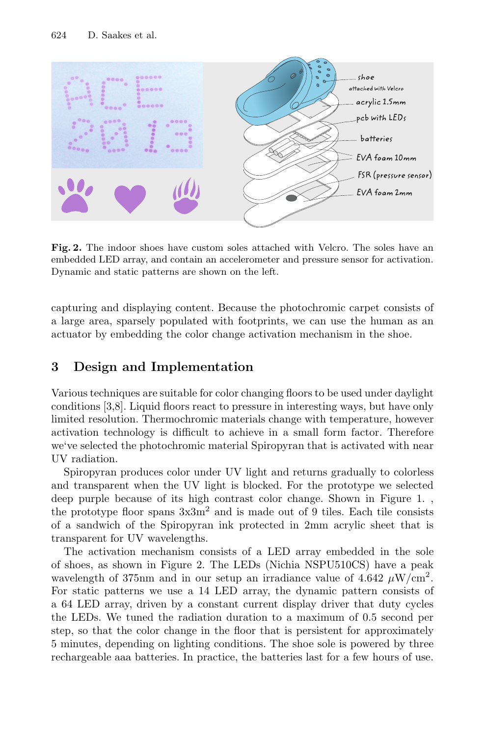

<span id="page-2-0"></span>Fig. 2. The indoor shoes have custom soles attached with Velcro. The soles have an embedded LED array, and contain an accelerometer and pressure sensor for activation. Dynamic and static patterns are shown on the left.

capturing and displaying content. Because the photochromic carpet consists of a large area, sparsely populated with footprints, we can use the human as an actuator by embedding the color change activation mechanism in the shoe.

# 3 Design and Implementation

Various techniques are suitable for color changing floors to be used under daylight conditions [\[3,](#page-3-8)[8\]](#page-3-9). Liquid floors react to pressure in interesting ways, but have only limited resolution. Thermochromic materials change with temperature, however activation technology is difficult to achieve in a small form factor. Therefore we've selected the photochromic material Spiropyran that is activated with near UV radiation.

Spiropyran produces color under UV light and returns gradually to colorless and transparent when the UV light is blocked. For the prototype we selected deep purple because of its high contrast color change. Shown in Figure [1.](#page-1-0) , the prototype floor spans  $3x3m^2$  and is made out of 9 tiles. Each tile consists of a sandwich of the Spiropyran ink protected in 2mm acrylic sheet that is transparent for UV wavelengths.

The activation mechanism consists of a LED array embedded in the sole of shoes, as shown in Figure [2.](#page-2-0) The LEDs (Nichia NSPU510CS) have a peak wavelength of 375nm and in our setup an irradiance value of  $4.642 \mu W/cm^2$ . For static patterns we use a 14 LED array, the dynamic pattern consists of a 64 LED array, driven by a constant current display driver that duty cycles the LEDs. We tuned the radiation duration to a maximum of 0.5 second per step, so that the color change in the floor that is persistent for approximately 5 minutes, depending on lighting conditions. The shoe sole is powered by three rechargeable aaa batteries. In practice, the batteries last for a few hours of use.